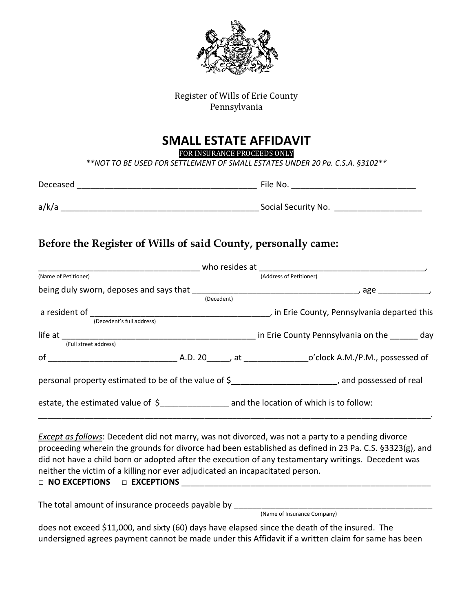

Register of Wills of Erie County Pennsylvania

### **SMALL ESTATE AFFIDAVIT**

FOR INSURANCE PROCEEDS ONLY

*\*\*NOT TO BE USED FOR SETTLEMENT OF SMALL ESTATES UNDER 20 Pa. C.S.A. §3102\*\**

| Deceased | File No.            |
|----------|---------------------|
| a/k/a    | Social Security No. |

#### **Before the Register of Wills of said County, personally came:**

| (Name of Petitioner)                                                          |  |            | (Address of Petitioner)                                                                                                                                                                                                                                                                                                    |  |  |
|-------------------------------------------------------------------------------|--|------------|----------------------------------------------------------------------------------------------------------------------------------------------------------------------------------------------------------------------------------------------------------------------------------------------------------------------------|--|--|
|                                                                               |  |            |                                                                                                                                                                                                                                                                                                                            |  |  |
|                                                                               |  | (Decedent) |                                                                                                                                                                                                                                                                                                                            |  |  |
|                                                                               |  |            |                                                                                                                                                                                                                                                                                                                            |  |  |
| (Decedent's full address)                                                     |  |            |                                                                                                                                                                                                                                                                                                                            |  |  |
|                                                                               |  |            |                                                                                                                                                                                                                                                                                                                            |  |  |
|                                                                               |  |            | life at $\frac{1}{(Full\; street\; address)}$ day                                                                                                                                                                                                                                                                          |  |  |
|                                                                               |  |            |                                                                                                                                                                                                                                                                                                                            |  |  |
|                                                                               |  |            | personal property estimated to be of the value of \$____________________________, and possessed of real                                                                                                                                                                                                                    |  |  |
|                                                                               |  |            | estate, the estimated value of \$___________________ and the location of which is to follow:                                                                                                                                                                                                                               |  |  |
| neither the victim of a killing nor ever adjudicated an incapacitated person. |  |            | <b>Except as follows:</b> Decedent did not marry, was not divorced, was not a party to a pending divorce<br>proceeding wherein the grounds for divorce had been established as defined in 23 Pa. C.S. §3323(g), and<br>did not have a child born or adopted after the execution of any testamentary writings. Decedent was |  |  |

□ **NO EXCEPTIONS □ EXCEPTIONS** \_\_\_\_\_\_\_\_\_\_\_\_\_\_\_\_\_\_\_\_\_\_\_\_\_\_\_\_\_\_\_\_\_\_\_\_\_\_\_\_\_\_\_\_\_\_\_\_\_\_\_\_\_\_

The total amount of insurance proceeds payable by \_\_\_\_\_\_\_\_\_\_\_\_\_\_\_\_\_\_\_\_\_\_\_\_\_\_\_\_\_\_\_\_\_\_\_\_\_\_\_\_\_\_\_

(Name of Insurance Company)

does not exceed \$11,000, and sixty (60) days have elapsed since the death of the insured. The undersigned agrees payment cannot be made under this Affidavit if a written claim for same has been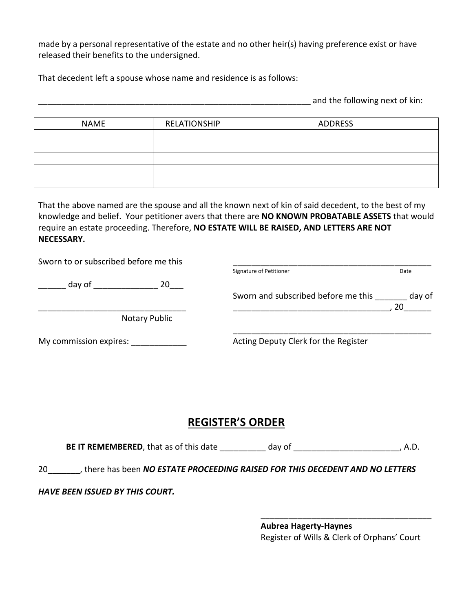made by a personal representative of the estate and no other heir(s) having preference exist or have released their benefits to the undersigned.

That decedent left a spouse whose name and residence is as follows:

and the following next of kin:

| <b>NAME</b> | RELATIONSHIP | ADDRESS |
|-------------|--------------|---------|
|             |              |         |
|             |              |         |
|             |              |         |
|             |              |         |
|             |              |         |

That the above named are the spouse and all the known next of kin of said decedent, to the best of my knowledge and belief. Your petitioner avers that there are **NO KNOWN PROBATABLE ASSETS** that would require an estate proceeding. Therefore, **NO ESTATE WILL BE RAISED, AND LETTERS ARE NOT NECESSARY.**

| Sworn to or subscribed before me this |                                      |        |
|---------------------------------------|--------------------------------------|--------|
|                                       | Signature of Petitioner              | Date   |
| day of<br>20                          |                                      |        |
|                                       | Sworn and subscribed before me this  | day of |
|                                       |                                      | 20     |
| Notary Public                         |                                      |        |
| My commission expires:                | Acting Deputy Clerk for the Register |        |

#### **REGISTER'S ORDER**

**BE IT REMEMBERED**, that as of this date day of day of the state of the state of the state of the state of the state of the state of the state of the state of the state of the state of the state of the state of the state o

20\_\_\_\_\_\_\_, there has been *NO ESTATE PROCEEDING RAISED FOR THIS DECEDENT AND NO LETTERS* 

*HAVE BEEN ISSUED BY THIS COURT.*

**Aubrea Hagerty-Haynes** Register of Wills & Clerk of Orphans' Court

\_\_\_\_\_\_\_\_\_\_\_\_\_\_\_\_\_\_\_\_\_\_\_\_\_\_\_\_\_\_\_\_\_\_\_\_\_